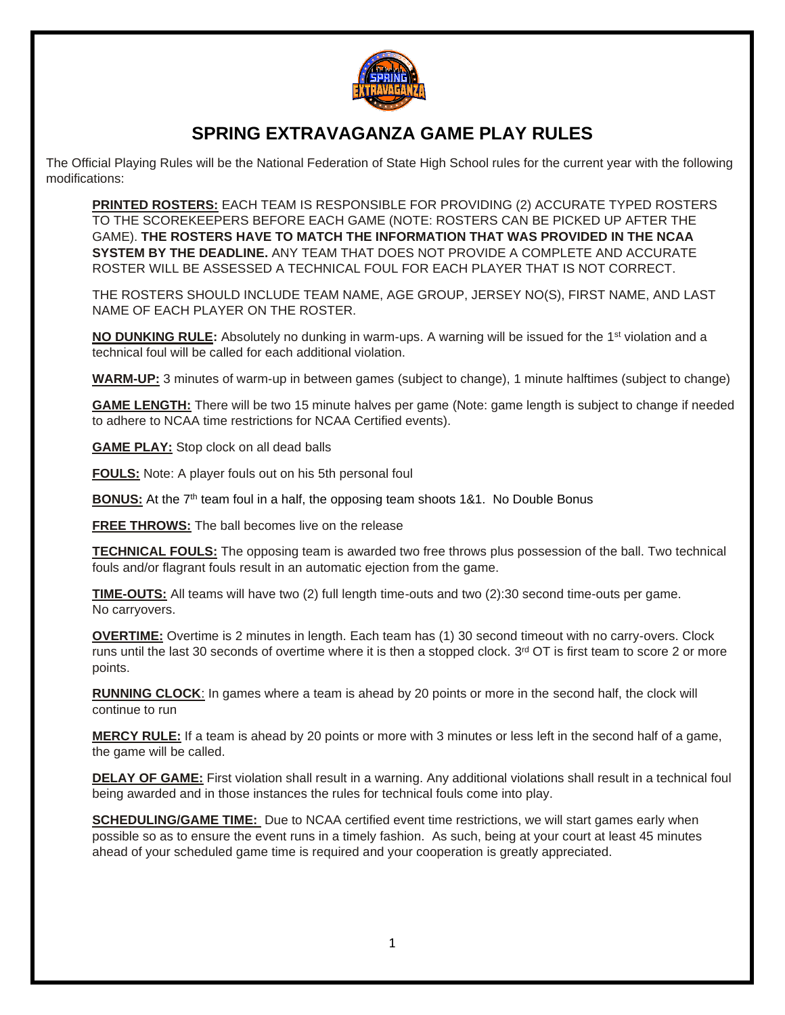

## **SPRING EXTRAVAGANZA GAME PLAY RULES**

The Official Playing Rules will be the National Federation of State High School rules for the current year with the following modifications:

**PRINTED ROSTERS:** EACH TEAM IS RESPONSIBLE FOR PROVIDING (2) ACCURATE TYPED ROSTERS TO THE SCOREKEEPERS BEFORE EACH GAME (NOTE: ROSTERS CAN BE PICKED UP AFTER THE GAME). **THE ROSTERS HAVE TO MATCH THE INFORMATION THAT WAS PROVIDED IN THE NCAA SYSTEM BY THE DEADLINE.** ANY TEAM THAT DOES NOT PROVIDE A COMPLETE AND ACCURATE ROSTER WILL BE ASSESSED A TECHNICAL FOUL FOR EACH PLAYER THAT IS NOT CORRECT.

THE ROSTERS SHOULD INCLUDE TEAM NAME, AGE GROUP, JERSEY NO(S), FIRST NAME, AND LAST NAME OF EACH PLAYER ON THE ROSTER.

**NO DUNKING RULE:** Absolutely no dunking in warm-ups. A warning will be issued for the 1<sup>st</sup> violation and a technical foul will be called for each additional violation.

**WARM-UP:** 3 minutes of warm-up in between games (subject to change), 1 minute halftimes (subject to change)

**GAME LENGTH:** There will be two 15 minute halves per game (Note: game length is subject to change if needed to adhere to NCAA time restrictions for NCAA Certified events).

**GAME PLAY:** Stop clock on all dead balls

**FOULS:** Note: A player fouls out on his 5th personal foul

**BONUS:** At the 7<sup>th</sup> team foul in a half, the opposing team shoots 1&1. No Double Bonus

**FREE THROWS:** The ball becomes live on the release

**TECHNICAL FOULS:** The opposing team is awarded two free throws plus possession of the ball. Two technical fouls and/or flagrant fouls result in an automatic ejection from the game.

**TIME-OUTS:** All teams will have two (2) full length time-outs and two (2):30 second time-outs per game. No carryovers.

**OVERTIME:** Overtime is 2 minutes in length. Each team has (1) 30 second timeout with no carry-overs. Clock runs until the last 30 seconds of overtime where it is then a stopped clock.  $3<sup>rd</sup> O T$  is first team to score 2 or more points.

**RUNNING CLOCK**: In games where a team is ahead by 20 points or more in the second half, the clock will continue to run

**MERCY RULE:** If a team is ahead by 20 points or more with 3 minutes or less left in the second half of a game, the game will be called.

**DELAY OF GAME:** First violation shall result in a warning. Any additional violations shall result in a technical foul being awarded and in those instances the rules for technical fouls come into play.

**SCHEDULING/GAME TIME:** Due to NCAA certified event time restrictions, we will start games early when possible so as to ensure the event runs in a timely fashion. As such, being at your court at least 45 minutes ahead of your scheduled game time is required and your cooperation is greatly appreciated.